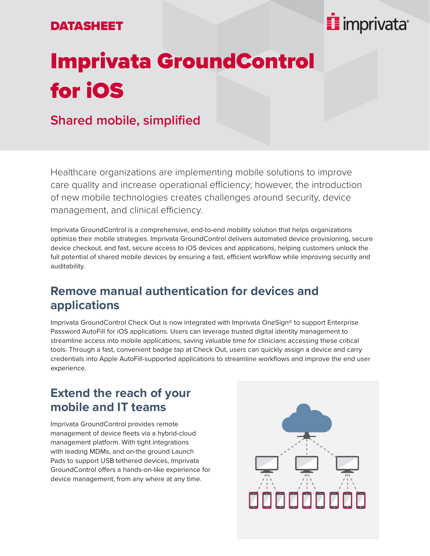#### DATASHEET

## **E** imprivata<sup>®</sup>

# Imprivata GroundControl for iOS

### **Shared mobile, simplified**

Healthcare organizations are implementing mobile solutions to improve care quality and increase operational efficiency; however, the introduction of new mobile technologies creates challenges around security, device management, and clinical efficiency.

Imprivata GroundControl is a comprehensive, end-to-end mobility solution that helps organizations optimize their mobile strategies. Imprivata GroundControl delivers automated device provisioning, secure device checkout, and fast, secure access to iOS devices and applications, helping customers unlock the full potential of shared mobile devices by ensuring a fast, efficient workflow while improving security and auditability.

#### **Remove manual authentication for devices and applications**

Imprivata GroundControl Check Out is now integrated with Imprivata OneSign® to support Enterprise Password AutoFill for iOS applications. Users can leverage trusted digital identity management to streamline access into mobile applications, saving valuable time for clinicians accessing these critical tools. Through a fast, convenient badge tap at Check Out, users can quickly assign a device and carry credentials into Apple AutoFill-supported applications to streamline workflows and improve the end user experience.

#### **Extend the reach of your mobile and IT teams**

Imprivata GroundControl provides remote management of device fleets via a hybrid-cloud management platform. With tight integrations with leading MDMs, and on-the ground Launch Pads to support USB tethered devices, Imprivata GroundControl offers a hands-on-like experience for device management, from any where at any time.

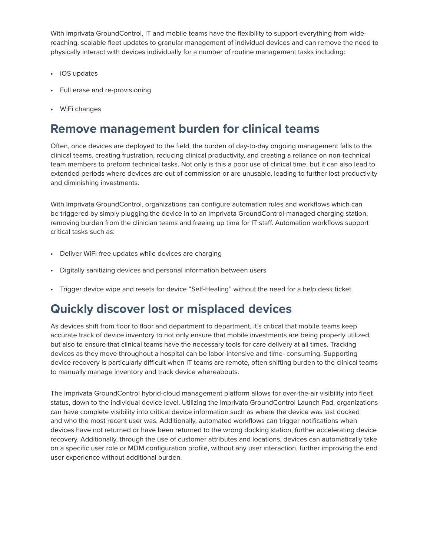With Imprivata GroundControl, IT and mobile teams have the flexibility to support everything from widereaching, scalable fleet updates to granular management of individual devices and can remove the need to physically interact with devices individually for a number of routine management tasks including:

- iOS updates
- Full erase and re-provisioning
- WiFi changes

#### **Remove management burden for clinical teams**

Often, once devices are deployed to the field, the burden of day-to-day ongoing management falls to the clinical teams, creating frustration, reducing clinical productivity, and creating a reliance on non-technical team members to preform technical tasks. Not only is this a poor use of clinical time, but it can also lead to extended periods where devices are out of commission or are unusable, leading to further lost productivity and diminishing investments.

With Imprivata GroundControl, organizations can configure automation rules and workflows which can be triggered by simply plugging the device in to an Imprivata GroundControl-managed charging station, removing burden from the clinician teams and freeing up time for IT staff. Automation workflows support critical tasks such as:

- Deliver WiFi-free updates while devices are charging
- Digitally sanitizing devices and personal information between users
- Trigger device wipe and resets for device "Self-Healing" without the need for a help desk ticket

#### **Quickly discover lost or misplaced devices**

As devices shift from floor to floor and department to department, it's critical that mobile teams keep accurate track of device inventory to not only ensure that mobile investments are being properly utilized, but also to ensure that clinical teams have the necessary tools for care delivery at all times. Tracking devices as they move throughout a hospital can be labor-intensive and time- consuming. Supporting device recovery is particularly difficult when IT teams are remote, often shifting burden to the clinical teams to manually manage inventory and track device whereabouts.

The Imprivata GroundControl hybrid-cloud management platform allows for over-the-air visibility into fleet status, down to the individual device level. Utilizing the Imprivata GroundControl Launch Pad, organizations can have complete visibility into critical device information such as where the device was last docked and who the most recent user was. Additionally, automated workflows can trigger notifications when devices have not returned or have been returned to the wrong docking station, further accelerating device recovery. Additionally, through the use of customer attributes and locations, devices can automatically take on a specific user role or MDM configuration profile, without any user interaction, further improving the end user experience without additional burden.